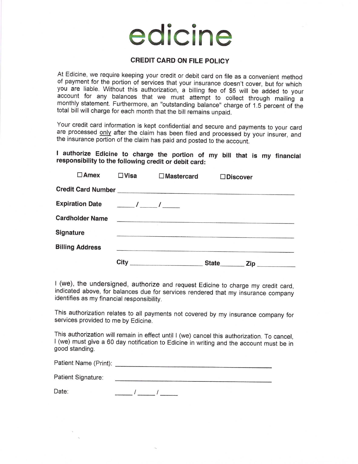## edicine

## CREDIT CARD ON FILE POLICY

At Edicine, we require keeping your credit or debit card on file as a convenient method of payment for the portion of services that your insurance doesn't cover, but for which you are liable. Without this authorization, a account for any balances that we must attempt to collect through mailing a monthly statement. Furthermore, an "outstanding balance" charge of 1.5 percent of the total bill will charge for each month that the bill remains unpaid.

Your credit card information is kept confidential and secure and payments to your card are processed only after the claim has been filed and processed by your insurer, and the insurance portion of the claim has paid and po

I authorize Edicine to charge the portion of my bill that is my financial responsibility to the following credit or debit card:

| $\square$ Amex         | $\square$ Visa | $\Box$ Mastercard | $\square$ Discover |                  |
|------------------------|----------------|-------------------|--------------------|------------------|
|                        |                |                   |                    |                  |
|                        |                |                   |                    |                  |
| <b>Cardholder Name</b> |                |                   |                    |                  |
| Signature              |                |                   |                    |                  |
| <b>Billing Address</b> |                |                   |                    |                  |
|                        | City           |                   |                    | State <b>Zip</b> |

I (we), the undersigned, authorize and request Edicine to charge my credit card, indicated above, for balances due for services rendered that my insurance company identifies as my financial responsibility.

This authorization relates to all payments not covered by my insurance company for services provided to me by Edicine.

This authorization will remain in effect until I (we) cancel this authorization. To cancel, <sup>I</sup>(we) must give a 60 day notification to Edicine in writing and the account must be in good standing.

| Patient Name (Print): |  |
|-----------------------|--|
| Patient Signature:    |  |

 $\frac{\frac{1}{2}}{2}$ Date: